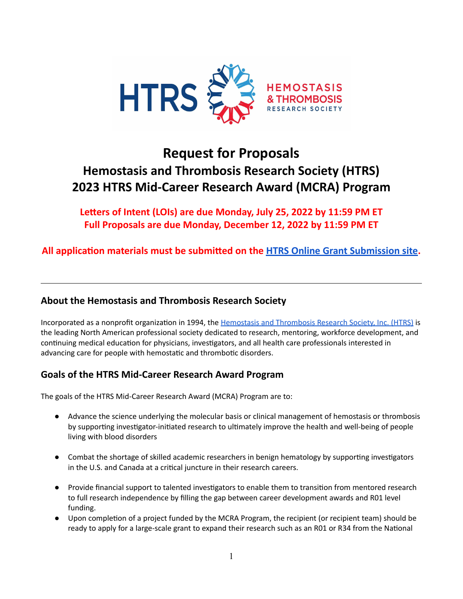

# **Request for Proposals Hemostasis and Thrombosis Research Society (HTRS) 2023 HTRS Mid-Career Research Award (MCRA) Program**

**Leers of Intent (LOIs) are due Monday, July 25, 2022 by 11:59 PM ET Full Proposals are due Monday, December 12, 2022 by 11:59 PM ET**

**All** application materials must be submitted on the HTRS Online Grant [Submission](https://htrs.smapply.org/) site.

# **About the Hemostasis and Thrombosis Research Society**

Incorporated as a nonprofit organization in 1994, the Hemostasis and [Thrombosis](http://www.htrs.org/) Research Society, Inc. (HTRS) is the leading North American professional society dedicated to research, mentoring, workforce development, and continuing medical education for physicians, investigators, and all health care professionals interested in advancing care for people with hemostatic and thrombotic disorders.

# **Goals of the HTRS Mid-Career Research Award Program**

The goals of the HTRS Mid-Career Research Award (MCRA) Program are to:

- Advance the science underlying the molecular basis or clinical management of hemostasis or thrombosis by supporting investigator-initiated research to ultimately improve the health and well-being of people living with blood disorders
- Combat the shortage of skilled academic researchers in benign hematology by supporting investigators in the U.S. and Canada at a critical juncture in their research careers.
- Provide financial support to talented investigators to enable them to transition from mentored research to full research independence by filling the gap between career development awards and R01 level funding.
- Upon completion of a project funded by the MCRA Program, the recipient (or recipient team) should be ready to apply for a large-scale grant to expand their research such as an R01 or R34 from the National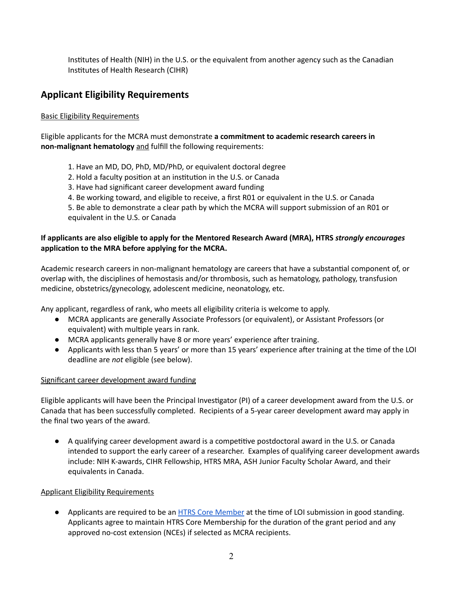Institutes of Health (NIH) in the U.S. or the equivalent from another agency such as the Canadian Instutes of Health Research (CIHR)

# **Applicant Eligibility Requirements**

### Basic Eligibility Requirements

Eligible applicants for the MCRA must demonstrate **a commitment to academic research careers in non-malignant hematology** and fulfill the following requirements:

- 1. Have an MD, DO, PhD, MD/PhD, or equivalent doctoral degree
- 2. Hold a faculty position at an institution in the U.S. or Canada
- 3. Have had significant career development award funding
- 4. Be working toward, and eligible to receive, a first R01 or equivalent in the U.S. or Canada

5. Be able to demonstrate a clear path by which the MCRA will support submission of an R01 or equivalent in the U.S. or Canada

### **If applicants are also eligible to apply for the Mentored Research Award (MRA), HTRS** *strongly encourages* **application to the MRA before applying for the MCRA.**

Academic research careers in non-malignant hematology are careers that have a substantial component of, or overlap with, the disciplines of hemostasis and/or thrombosis, such as hematology, pathology, transfusion medicine, obstetrics/gynecology, adolescent medicine, neonatology, etc.

Any applicant, regardless of rank, who meets all eligibility criteria is welcome to apply.

- MCRA applicants are generally Associate Professors (or equivalent), or Assistant Professors (or equivalent) with multiple years in rank.
- MCRA applicants generally have 8 or more years' experience after training.
- Applicants with less than 5 years' or more than 15 years' experience after training at the time of the LOI deadline are *not* eligible (see below).

### Significant career development award funding

Eligible applicants will have been the Principal Investigator (PI) of a career development award from the U.S. or Canada that has been successfully completed. Recipients of a 5-year career development award may apply in the final two years of the award.

 $\bullet$  A qualifying career development award is a competitive postdoctoral award in the U.S. or Canada intended to support the early career of a researcher. Examples of qualifying career development awards include: NIH K-awards, CIHR Fellowship, HTRS MRA, ASH Junior Faculty Scholar Award, and their equivalents in Canada.

### Applicant Eligibility Requirements

● Applicants are required to be an HTRS Core [Member](https://www.htrs.org/home/Membership2) at the time of LOI submission in good standing. Applicants agree to maintain HTRS Core Membership for the duration of the grant period and any approved no-cost extension (NCEs) if selected as MCRA recipients.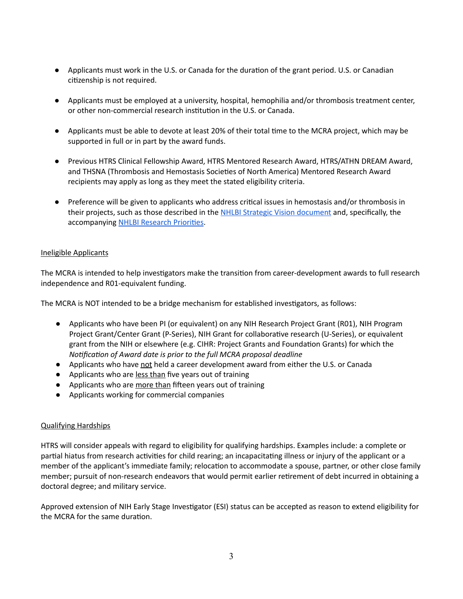- Applicants must work in the U.S. or Canada for the duration of the grant period. U.S. or Canadian citizenship is not required.
- Applicants must be employed at a university, hospital, hemophilia and/or thrombosis treatment center, or other non-commercial research institution in the U.S. or Canada.
- Applicants must be able to devote at least 20% of their total time to the MCRA project, which may be supported in full or in part by the award funds.
- Previous HTRS Clinical Fellowship Award, HTRS Mentored Research Award, HTRS/ATHN DREAM Award, and THSNA (Thrombosis and Hemostasis Societies of North America) Mentored Research Award recipients may apply as long as they meet the stated eligibility criteria.
- Preference will be given to applicants who address critical issues in hemostasis and/or thrombosis in their projects, such as those described in the NHLBI Strategic Vision [document](https://www.nhlbi.nih.gov/sites/default/files/2017-11/NHLBI-Strategic-Vision-2016_FF.pdf) and, specifically, the accompanying NHLBI [Research](https://www.nhlbi.nih.gov/about/strategic-vision/research-priorities) Priorities.

### Ineligible Applicants

The MCRA is intended to help investigators make the transition from career-development awards to full research independence and R01-equivalent funding.

The MCRA is NOT intended to be a bridge mechanism for established investigators, as follows:

- Applicants who have been PI (or equivalent) on any NIH Research Project Grant (R01), NIH Program Project Grant/Center Grant (P-Series), NIH Grant for collaborative research (U-Series), or equivalent grant from the NIH or elsewhere (e.g. CIHR: Project Grants and Foundation Grants) for which the *Motification of Award date is prior to the full MCRA proposal deadline*
- Applicants who have not held a career development award from either the U.S. or Canada
- Applicants who are less than five years out of training
- Applicants who are more than fifteen years out of training
- Applicants working for commercial companies

### Qualifying Hardships

HTRS will consider appeals with regard to eligibility for qualifying hardships. Examples include: a complete or partial hiatus from research activities for child rearing; an incapacitating illness or injury of the applicant or a member of the applicant's immediate family; relocation to accommodate a spouse, partner, or other close family member; pursuit of non-research endeavors that would permit earlier retirement of debt incurred in obtaining a doctoral degree; and military service.

Approved extension of NIH Early Stage Investigator (ESI) status can be accepted as reason to extend eligibility for the MCRA for the same duration.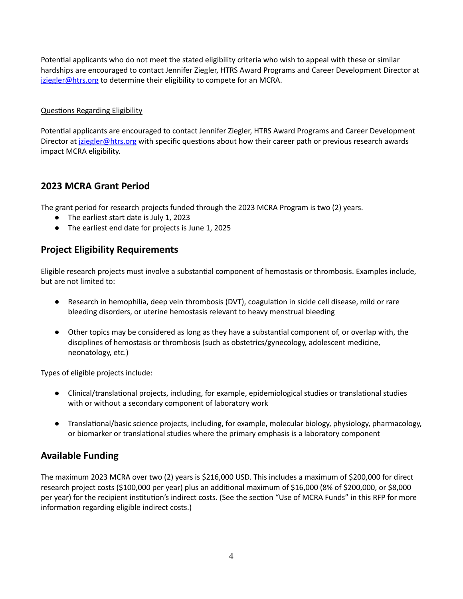Potential applicants who do not meet the stated eligibility criteria who wish to appeal with these or similar hardships are encouraged to contact Jennifer Ziegler, HTRS Award Programs and Career Development Director at [jziegler@htrs.org](mailto:jziegler@htrs.org) to determine their eligibility to compete for an MCRA.

### Questions Regarding Eligibility

Potential applicants are encouraged to contact Jennifer Ziegler, HTRS Award Programs and Career Development Director at *[jziegler@htrs.org](mailto:jziegler@htrs.org)* with specific questions about how their career path or previous research awards impact MCRA eligibility.

# **2023 MCRA Grant Period**

The grant period for research projects funded through the 2023 MCRA Program is two (2) years.

- The earliest start date is July 1, 2023
- **●** The earliest end date for projects is June 1, 2025

## **Project Eligibility Requirements**

Eligible research projects must involve a substantial component of hemostasis or thrombosis. Examples include, but are not limited to:

- Research in hemophilia, deep vein thrombosis (DVT), coagulation in sickle cell disease, mild or rare bleeding disorders, or uterine hemostasis relevant to heavy menstrual bleeding
- Other topics may be considered as long as they have a substantial component of, or overlap with, the disciplines of hemostasis or thrombosis (such as obstetrics/gynecology, adolescent medicine, neonatology, etc.)

Types of eligible projects include:

- Clinical/translational projects, including, for example, epidemiological studies or translational studies with or without a secondary component of laboratory work
- Translational/basic science projects, including, for example, molecular biology, physiology, pharmacology, or biomarker or translational studies where the primary emphasis is a laboratory component

# **Available Funding**

The maximum 2023 MCRA over two (2) years is \$216,000 USD. This includes a maximum of \$200,000 for direct research project costs (\$100,000 per year) plus an additional maximum of \$16,000 (8% of \$200,000, or \$8,000 per year) for the recipient institution's indirect costs. (See the section "Use of MCRA Funds" in this RFP for more information regarding eligible indirect costs.)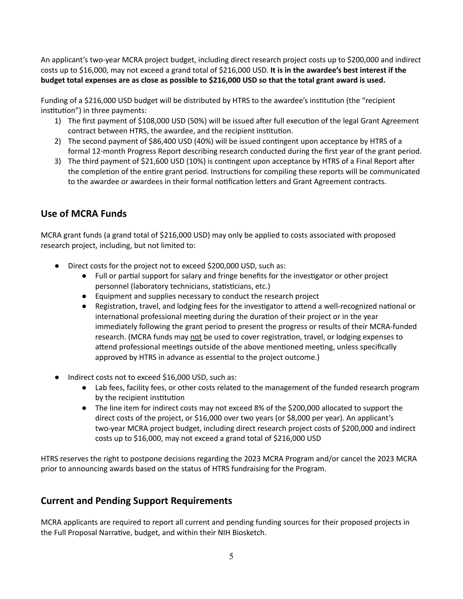An applicant's two-year MCRA project budget, including direct research project costs up to \$200,000 and indirect costs up to \$16,000, may not exceed a grand total of \$216,000 USD. **It is in the awardee's best interest if the** budget total expenses are as close as possible to \$216,000 USD so that the total grant award is used.

Funding of a \$216,000 USD budget will be distributed by HTRS to the awardee's institution (the "recipient institution") in three payments:

- 1) The first payment of \$108,000 USD (50%) will be issued after full execution of the legal Grant Agreement contract between HTRS, the awardee, and the recipient institution.
- 2) The second payment of \$86,400 USD (40%) will be issued contingent upon acceptance by HTRS of a formal 12-month Progress Report describing research conducted during the first year of the grant period.
- 3) The third payment of \$21,600 USD (10%) is contingent upon acceptance by HTRS of a Final Report after the completion of the entire grant period. Instructions for compiling these reports will be communicated to the awardee or awardees in their formal notification letters and Grant Agreement contracts.

# **Use of MCRA Funds**

MCRA grant funds (a grand total of \$216,000 USD) may only be applied to costs associated with proposed research project, including, but not limited to:

- Direct costs for the project not to exceed \$200,000 USD, such as:
	- Full or partial support for salary and fringe benefits for the investigator or other project personnel (laboratory technicians, statisticians, etc.)
	- Equipment and supplies necessary to conduct the research project
	- Registration, travel, and lodging fees for the investigator to attend a well-recognized national or international professional meeting during the duration of their project or in the year immediately following the grant period to present the progress or results of their MCRA-funded research. (MCRA funds may not be used to cover registration, travel, or lodging expenses to attend professional meetings outside of the above mentioned meeting, unless specifically approved by HTRS in advance as essential to the project outcome.)
- Indirect costs not to exceed \$16,000 USD, such as:
	- Lab fees, facility fees, or other costs related to the management of the funded research program by the recipient institution
	- The line item for indirect costs may not exceed 8% of the \$200,000 allocated to support the direct costs of the project, or \$16,000 over two years (or \$8,000 per year). An applicant's two-year MCRA project budget, including direct research project costs of \$200,000 and indirect costs up to \$16,000, may not exceed a grand total of \$216,000 USD

HTRS reserves the right to postpone decisions regarding the 2023 MCRA Program and/or cancel the 2023 MCRA prior to announcing awards based on the status of HTRS fundraising for the Program.

# **Current and Pending Support Requirements**

MCRA applicants are required to report all current and pending funding sources for their proposed projects in the Full Proposal Narrative, budget, and within their NIH Biosketch.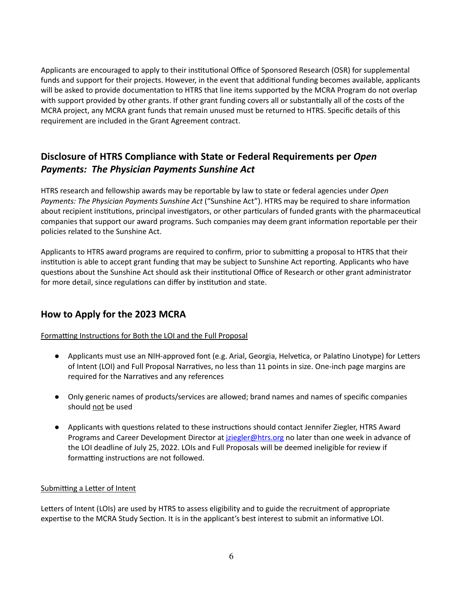Applicants are encouraged to apply to their institutional Office of Sponsored Research (OSR) for supplemental funds and support for their projects. However, in the event that additional funding becomes available, applicants will be asked to provide documentation to HTRS that line items supported by the MCRA Program do not overlap with support provided by other grants. If other grant funding covers all or substantially all of the costs of the MCRA project, any MCRA grant funds that remain unused must be returned to HTRS. Specific details of this requirement are included in the Grant Agreement contract.

# **Disclosure of HTRS Compliance with State or Federal Requirements per** *Open Payments: The Physician Payments Sunshine Act*

HTRS research and fellowship awards may be reportable by law to state or federal agencies under *Open Payments: The Physician Payments Sunshine Act* ("Sunshine Act"). HTRS may be required to share information about recipient institutions, principal investigators, or other particulars of funded grants with the pharmaceutical companies that support our award programs. Such companies may deem grant information reportable per their policies related to the Sunshine Act.

Applicants to HTRS award programs are required to confirm, prior to submitting a proposal to HTRS that their institution is able to accept grant funding that may be subject to Sunshine Act reporting. Applicants who have questions about the Sunshine Act should ask their institutional Office of Research or other grant administrator for more detail, since regulations can differ by institution and state.

# **How to Apply for the 2023 MCRA**

Formatting Instructions for Both the LOI and the Full Proposal

- Applicants must use an NIH-approved font (e.g. Arial, Georgia, Helvetica, or Palatino Linotype) for Letters of Intent (LOI) and Full Proposal Narratives, no less than 11 points in size. One-inch page margins are required for the Narratives and any references
- Only generic names of products/services are allowed; brand names and names of specific companies should not be used
- Applicants with questions related to these instructions should contact Jennifer Ziegler, HTRS Award Programs and Career Development Director at *[jziegler@htrs.org](mailto:jziegler@htrs.org)* no later than one week in advance of the LOI deadline of July 25, 2022. LOIs and Full Proposals will be deemed ineligible for review if formatting instructions are not followed.

### Submitting a Letter of Intent

Letters of Intent (LOIs) are used by HTRS to assess eligibility and to guide the recruitment of appropriate expertise to the MCRA Study Section. It is in the applicant's best interest to submit an informative LOI.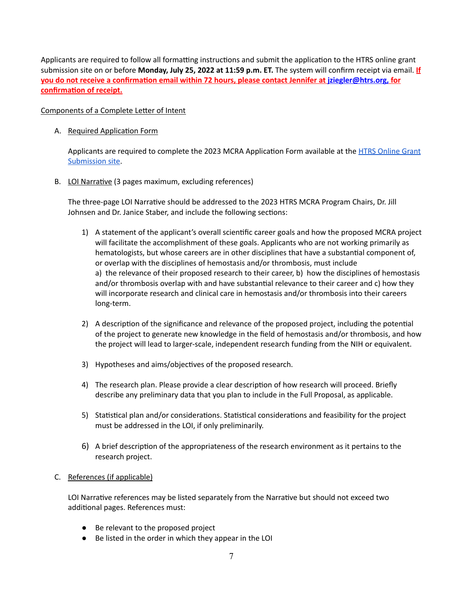Applicants are required to follow all formatting instructions and submit the application to the HTRS online grant submission site on or before **Monday, July 25, 2022 at 11:59 p.m. ET.** The system will confirm receipt via email. **If <u>you do not receive a confirmation email within 72 hours, please contact Jennifer at** *[jziegler@htrs.org,](mailto:jziegler@htrs.org)* **for**</u> **confirmation of receipt.** 

### Components of a Complete Letter of Intent

A. Required Application Form

Applicants are required to complete the 2023 MCRA Application Form available at the HTRS [Online](https://htrs.smapply.org/) Grant [Submission](https://htrs.smapply.org/) site.

B. LOI Narrative (3 pages maximum, excluding references)

The three-page LOI Narrative should be addressed to the 2023 HTRS MCRA Program Chairs, Dr. Jill Johnsen and Dr. Janice Staber, and include the following sections:

- 1) A statement of the applicant's overall scienfic career goals and how the proposed MCRA project will facilitate the accomplishment of these goals. Applicants who are not working primarily as hematologists, but whose careers are in other disciplines that have a substantial component of, or overlap with the disciplines of hemostasis and/or thrombosis, must include a) the relevance of their proposed research to their career, b) how the disciplines of hemostasis and/or thrombosis overlap with and have substantial relevance to their career and c) how they will incorporate research and clinical care in hemostasis and/or thrombosis into their careers long-term.
- 2) A description of the significance and relevance of the proposed project, including the potential of the project to generate new knowledge in the field of hemostasis and/or thrombosis, and how the project will lead to larger-scale, independent research funding from the NIH or equivalent.
- 3) Hypotheses and aims/objectives of the proposed research.
- 4) The research plan. Please provide a clear description of how research will proceed. Briefly describe any preliminary data that you plan to include in the Full Proposal, as applicable.
- 5) Statistical plan and/or considerations. Statistical considerations and feasibility for the project must be addressed in the LOI, if only preliminarily.
- 6) A brief description of the appropriateness of the research environment as it pertains to the research project.
- C. References (if applicable)

LOI Narrative references may be listed separately from the Narrative but should not exceed two additional pages. References must:

- Be relevant to the proposed project
- Be listed in the order in which they appear in the LOI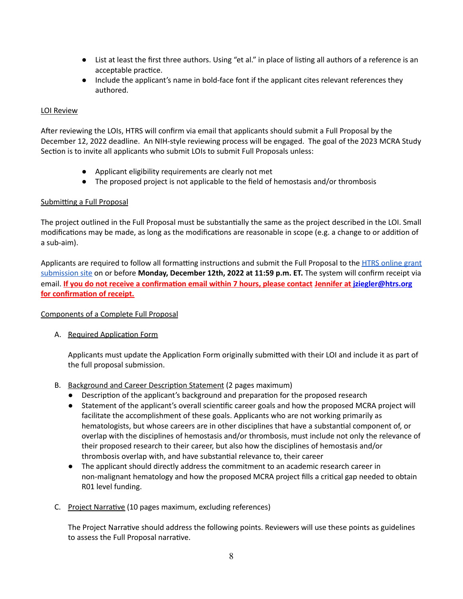- List at least the first three authors. Using "et al." in place of listing all authors of a reference is an acceptable practice.
- Include the applicant's name in bold-face font if the applicant cites relevant references they authored.

### LOI Review

After reviewing the LOIs, HTRS will confirm via email that applicants should submit a Full Proposal by the December 12, 2022 deadline. An NIH-style reviewing process will be engaged. The goal of the 2023 MCRA Study Section is to invite all applicants who submit LOIs to submit Full Proposals unless:

- Applicant eligibility requirements are clearly not met
- The proposed project is not applicable to the field of hemostasis and/or thrombosis

### Submitting a Full Proposal

The project outlined in the Full Proposal must be substantially the same as the project described in the LOI. Small modifications may be made, as long as the modifications are reasonable in scope (e.g. a change to or addition of a sub-aim).

Applicants are required to follow all formatting instructions and submit the Full Proposal to the HTRS [online](https://htrs.smapply.org/) grant [submission](https://htrs.smapply.org/) site on or before **Monday, December 12th, 2022 at 11:59 p.m. ET.** The system will confirm receipt via **email. If you do not receive a confirmation email within 7 hours, please contact Jennifer at [jziegler@htrs.org](mailto:jziegler@htrs.org) for confirmation of receipt.** 

### Components of a Complete Full Proposal

A. Required Application Form

Applicants must update the Application Form originally submitted with their LOI and include it as part of the full proposal submission.

- B. Background and Career Description Statement (2 pages maximum)
	- Description of the applicant's background and preparation for the proposed research
	- Statement of the applicant's overall scientific career goals and how the proposed MCRA project will facilitate the accomplishment of these goals. Applicants who are not working primarily as hematologists, but whose careers are in other disciplines that have a substantial component of, or overlap with the disciplines of hemostasis and/or thrombosis, must include not only the relevance of their proposed research to their career, but also how the disciplines of hemostasis and/or thrombosis overlap with, and have substantial relevance to, their career
	- The applicant should directly address the commitment to an academic research career in non-malignant hematology and how the proposed MCRA project fills a critical gap needed to obtain R01 level funding.
- C. Project Narrative (10 pages maximum, excluding references)

The Project Narrative should address the following points. Reviewers will use these points as guidelines to assess the Full Proposal narrative.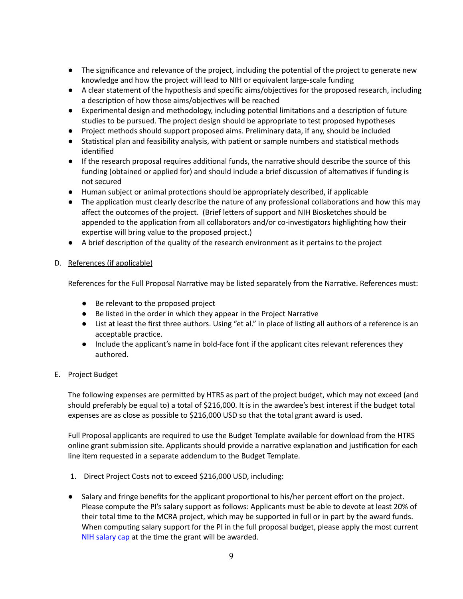- The significance and relevance of the project, including the potential of the project to generate new knowledge and how the project will lead to NIH or equivalent large-scale funding
- A clear statement of the hypothesis and specific aims/objectives for the proposed research, including a description of how those aims/objectives will be reached
- Experimental design and methodology, including potential limitations and a description of future studies to be pursued. The project design should be appropriate to test proposed hypotheses
- Project methods should support proposed aims. Preliminary data, if any, should be included
- Statistical plan and feasibility analysis, with patient or sample numbers and statistical methods identified
- If the research proposal requires additional funds, the narrative should describe the source of this funding (obtained or applied for) and should include a brief discussion of alternatives if funding is not secured
- Human subject or animal protections should be appropriately described, if applicable
- The application must clearly describe the nature of any professional collaborations and how this may affect the outcomes of the project. (Brief letters of support and NIH Biosketches should be appended to the application from all collaborators and/or co-investigators highlighting how their expertise will bring value to the proposed project.)
- A brief description of the quality of the research environment as it pertains to the project

### D. References (if applicable)

References for the Full Proposal Narrative may be listed separately from the Narrative. References must:

- Be relevant to the proposed project
- Be listed in the order in which they appear in the Project Narrative
- List at least the first three authors. Using "et al." in place of listing all authors of a reference is an acceptable practice.
- Include the applicant's name in bold-face font if the applicant cites relevant references they authored.

### E. Project Budget

The following expenses are permitted by HTRS as part of the project budget, which may not exceed (and should preferably be equal to) a total of \$216,000. It is in the awardee's best interest if the budget total expenses are as close as possible to \$216,000 USD so that the total grant award is used.

Full Proposal applicants are required to use the Budget Template available for download from the HTRS online grant submission site. Applicants should provide a narrative explanation and justification for each line item requested in a separate addendum to the Budget Template.

- 1. Direct Project Costs not to exceed \$216,000 USD, including:
- Salary and fringe benefits for the applicant proportional to his/her percent effort on the project. Please compute the PI's salary support as follows: Applicants must be able to devote at least 20% of their total time to the MCRA project, which may be supported in full or in part by the award funds. When computing salary support for the PI in the full proposal budget, please apply the most current NIH [salary](https://grants.nih.gov/grants/policy/salcap_summary.htm) cap at the time the grant will be awarded.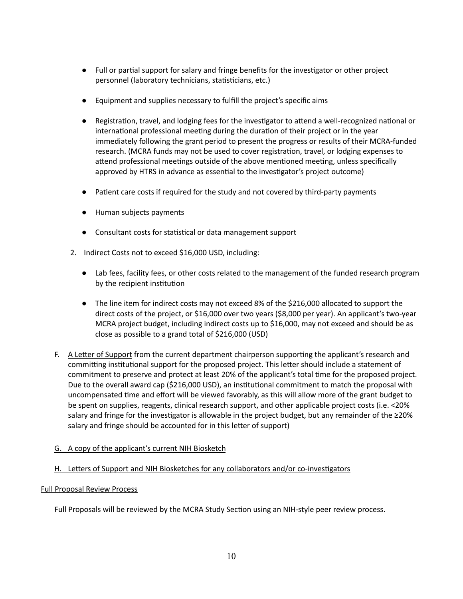- Full or partial support for salary and fringe benefits for the investigator or other project personnel (laboratory technicians, statisticians, etc.)
- Equipment and supplies necessary to fulfill the project's specific aims
- Registration, travel, and lodging fees for the investigator to attend a well-recognized national or international professional meeting during the duration of their project or in the year immediately following the grant period to present the progress or results of their MCRA-funded research. (MCRA funds may not be used to cover registration, travel, or lodging expenses to attend professional meetings outside of the above mentioned meeting, unless specifically approved by HTRS in advance as essential to the investigator's project outcome)
- Patient care costs if required for the study and not covered by third-party payments
- Human subjects payments
- Consultant costs for statistical or data management support
- 2. Indirect Costs not to exceed \$16,000 USD, including:
	- Lab fees, facility fees, or other costs related to the management of the funded research program by the recipient institution
	- The line item for indirect costs may not exceed 8% of the \$216,000 allocated to support the direct costs of the project, or \$16,000 over two years (\$8,000 per year). An applicant's two-year MCRA project budget, including indirect costs up to \$16,000, may not exceed and should be as close as possible to a grand total of \$216,000 (USD)
- F. A Letter of Support from the current department chairperson supporting the applicant's research and committing institutional support for the proposed project. This letter should include a statement of commitment to preserve and protect at least 20% of the applicant's total time for the proposed project. Due to the overall award cap (\$216,000 USD), an institutional commitment to match the proposal with uncompensated time and effort will be viewed favorably, as this will allow more of the grant budget to be spent on supplies, reagents, clinical research support, and other applicable project costs (i.e. <20% salary and fringe for the investigator is allowable in the project budget, but any remainder of the  $\geq$ 20% salary and fringe should be accounted for in this letter of support)

### G. A copy of the applicant's current NIH Biosketch

### H. Letters of Support and NIH Biosketches for any collaborators and/or co-investigators

### Full Proposal Review Process

Full Proposals will be reviewed by the MCRA Study Section using an NIH-style peer review process.